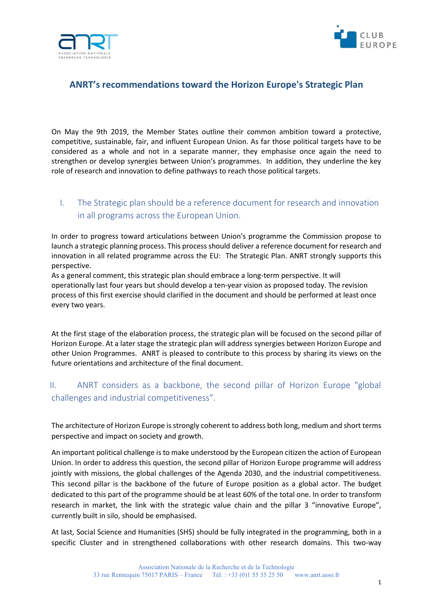



## **ANRT's recommendations toward the Horizon Europe's Strategic Plan**

On May the 9th 2019, the Member States outline their common ambition toward a protective, competitive, sustainable, fair, and influent European Union. As far those political targets have to be considered as a whole and not in a separate manner, they emphasise once again the need to strengthen or develop synergies between Union's programmes. In addition, they underline the key role of research and innovation to define pathways to reach those political targets.

# I. The Strategic plan should be a reference document for research and innovation in all programs across the European Union.

In order to progress toward articulations between Union's programme the Commission propose to launch a strategic planning process. This process should deliver a reference document for research and innovation in all related programme across the EU: The Strategic Plan. ANRT strongly supports this perspective.

As a general comment, this strategic plan should embrace a long-term perspective. It will operationally last four years but should develop a ten-year vision as proposed today. The revision process of this first exercise should clarified in the document and should be performed at least once every two years.

At the first stage of the elaboration process, the strategic plan will be focused on the second pillar of Horizon Europe. At a later stage the strategic plan will address synergies between Horizon Europe and other Union Programmes. ANRT is pleased to contribute to this process by sharing its views on the future orientations and architecture of the final document.

## II. ANRT considers as a backbone, the second pillar of Horizon Europe "global challenges and industrial competitiveness".

The architecture of Horizon Europe is strongly coherent to address both long, medium and short terms perspective and impact on society and growth.

An important political challenge is to make understood by the European citizen the action of European Union. In order to address this question, the second pillar of Horizon Europe programme will address jointly with missions, the global challenges of the Agenda 2030, and the industrial competitiveness. This second pillar is the backbone of the future of Europe position as a global actor. The budget dedicated to this part of the programme should be at least 60% of the total one. In order to transform research in market, the link with the strategic value chain and the pillar 3 "innovative Europe", currently built in silo, should be emphasised.

At last, Social Science and Humanities (SHS) should be fully integrated in the programming, both in a specific Cluster and in strengthened collaborations with other research domains. This two-way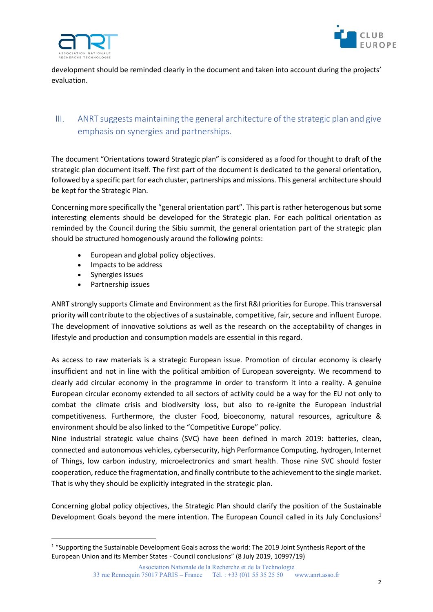



development should be reminded clearly in the document and taken into account during the projects' evaluation.

## III. ANRT suggests maintaining the general architecture of the strategic plan and give emphasis on synergies and partnerships.

The document "Orientations toward Strategic plan" is considered as a food for thought to draft of the strategic plan document itself. The first part of the document is dedicated to the general orientation, followed by a specific part for each cluster, partnerships and missions. This general architecture should be kept for the Strategic Plan.

Concerning more specifically the "general orientation part". This part is rather heterogenous but some interesting elements should be developed for the Strategic plan. For each political orientation as reminded by the Council during the Sibiu summit, the general orientation part of the strategic plan should be structured homogenously around the following points:

- European and global policy objectives.
- Impacts to be address
- Synergies issues

**.** 

• Partnership issues

ANRT strongly supports Climate and Environment as the first R&I priorities for Europe. This transversal priority will contribute to the objectives of a sustainable, competitive, fair, secure and influent Europe. The development of innovative solutions as well as the research on the acceptability of changes in lifestyle and production and consumption models are essential in this regard.

As access to raw materials is a strategic European issue. Promotion of circular economy is clearly insufficient and not in line with the political ambition of European sovereignty. We recommend to clearly add circular economy in the programme in order to transform it into a reality. A genuine European circular economy extended to all sectors of activity could be a way for the EU not only to combat the climate crisis and biodiversity loss, but also to re-ignite the European industrial competitiveness. Furthermore, the cluster Food, bioeconomy, natural resources, agriculture & environment should be also linked to the "Competitive Europe" policy.

Nine industrial strategic value chains (SVC) have been defined in march 2019: batteries, clean, connected and autonomous vehicles, cybersecurity, high Performance Computing, hydrogen, Internet of Things, low carbon industry, microelectronics and smart health. Those nine SVC should foster cooperation, reduce the fragmentation, and finally contribute to the achievement to the single market. That is why they should be explicitly integrated in the strategic plan.

Concerning global policy objectives, the Strategic Plan should clarify the position of the Sustainable Development Goals beyond the mere intention. The European Council called in its July Conclusions<sup>1</sup>

<sup>&</sup>lt;sup>1</sup> "Supporting the Sustainable Development Goals across the world: The 2019 Joint Synthesis Report of the European Union and its Member States - Council conclusions" (8 July 2019, 10997/19)